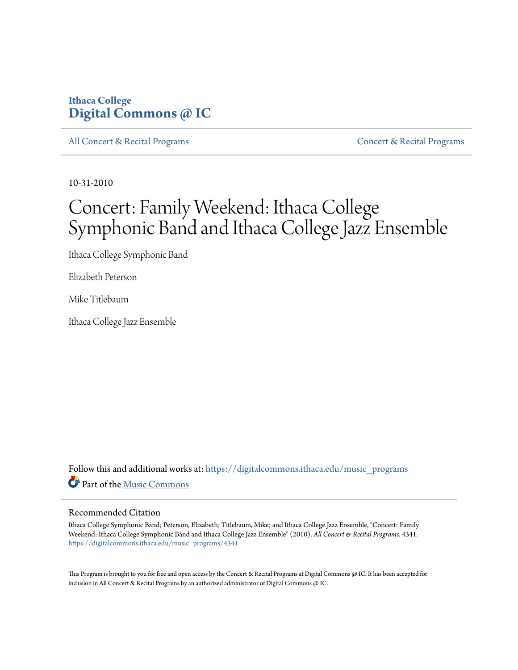# **Ithaca College [Digital Commons @ IC](https://digitalcommons.ithaca.edu?utm_source=digitalcommons.ithaca.edu%2Fmusic_programs%2F4341&utm_medium=PDF&utm_campaign=PDFCoverPages)**

[All Concert & Recital Programs](https://digitalcommons.ithaca.edu/music_programs?utm_source=digitalcommons.ithaca.edu%2Fmusic_programs%2F4341&utm_medium=PDF&utm_campaign=PDFCoverPages) **[Concert & Recital Programs](https://digitalcommons.ithaca.edu/som_programs?utm_source=digitalcommons.ithaca.edu%2Fmusic_programs%2F4341&utm_medium=PDF&utm_campaign=PDFCoverPages)** Concert & Recital Programs

10-31-2010

# Concert: Family Weekend: Ithaca College Symphonic Band and Ithaca College Jazz Ensemble

Ithaca College Symphonic Band

Elizabeth Peterson

Mike Titlebaum

Ithaca College Jazz Ensemble

Follow this and additional works at: [https://digitalcommons.ithaca.edu/music\\_programs](https://digitalcommons.ithaca.edu/music_programs?utm_source=digitalcommons.ithaca.edu%2Fmusic_programs%2F4341&utm_medium=PDF&utm_campaign=PDFCoverPages) Part of the [Music Commons](http://network.bepress.com/hgg/discipline/518?utm_source=digitalcommons.ithaca.edu%2Fmusic_programs%2F4341&utm_medium=PDF&utm_campaign=PDFCoverPages)

#### Recommended Citation

Ithaca College Symphonic Band; Peterson, Elizabeth; Titlebaum, Mike; and Ithaca College Jazz Ensemble, "Concert: Family Weekend: Ithaca College Symphonic Band and Ithaca College Jazz Ensemble" (2010). *All Concert & Recital Programs*. 4341. [https://digitalcommons.ithaca.edu/music\\_programs/4341](https://digitalcommons.ithaca.edu/music_programs/4341?utm_source=digitalcommons.ithaca.edu%2Fmusic_programs%2F4341&utm_medium=PDF&utm_campaign=PDFCoverPages)

This Program is brought to you for free and open access by the Concert & Recital Programs at Digital Commons @ IC. It has been accepted for inclusion in All Concert & Recital Programs by an authorized administrator of Digital Commons @ IC.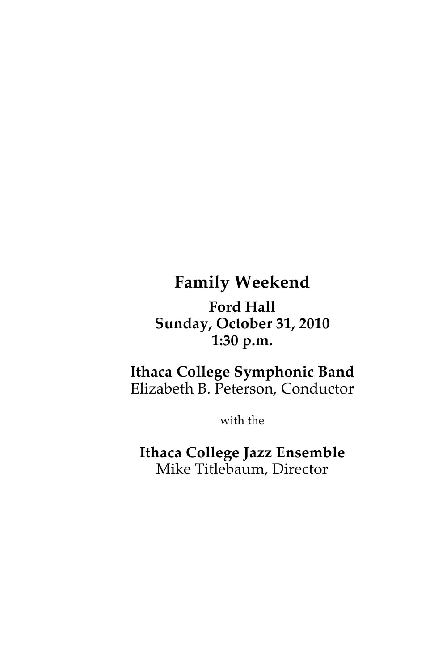# **Family Weekend**

**Ford Hall Sunday, October 31, 2010 1:30 p.m.**

# **Ithaca College Symphonic Band** Elizabeth B. Peterson, Conductor

with the

**Ithaca College Jazz Ensemble** Mike Titlebaum, Director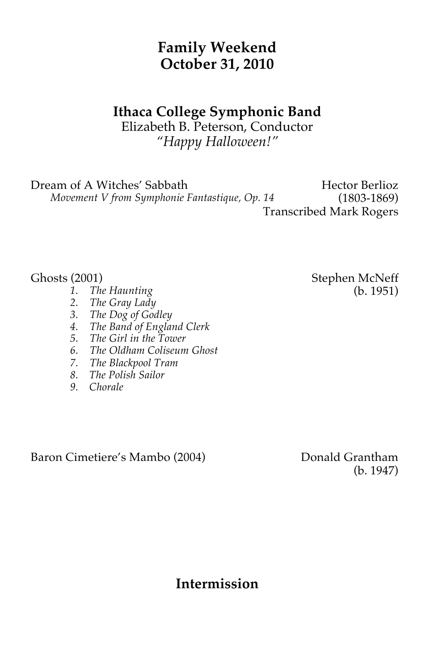# **Family Weekend October 31, 2010**

# **Ithaca College Symphonic Band**

Elizabeth B. Peterson, Conductor *"Happy Halloween!"*

Dream of A Witches' Sabbath

 *Movement V from Symphonie Fantastique, Op. 14*

Hector Berlioz (1803-1869) Transcribed Mark Rogers

- *1. The Haunting*
- *2. The Gray Lady*
- *3. The Dog of Godley*
- *4. The Band of England Clerk*
- *5. The Girl in the Tower*
- *6. The Oldham Coliseum Ghost*
- *7. The Blackpool Tram*
- *8. The Polish Sailor*
- *9. Chorale*

Baron Cimetiere's Mambo (2004) Donald Grantham

(b. 1947)

**Intermission**

Ghosts (2001) Stephen McNeff (b. 1951)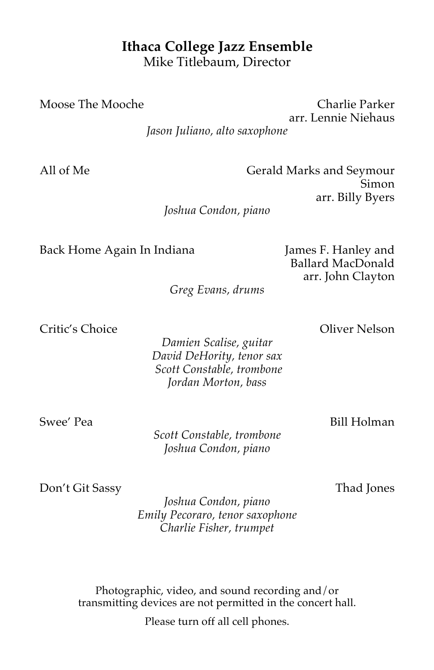## **Ithaca College Jazz Ensemble** Mike Titlebaum, Director

Moose The Mooche Charlie Parker arr. Lennie Niehaus

*Jason Juliano, alto saxophone*

All of Me Gerald Marks and Seymour Simon arr. Billy Byers

*Joshua Condon, piano*

Back Home Again In Indiana James F. Hanley and

Ballard MacDonald arr. John Clayton

*Greg Evans, drums*

Critic's Choice Oliver Nelson

*Damien Scalise, guitar David DeHority, tenor sax Scott Constable, trombone Jordan Morton, bass*

Swee' Pea **Bill Holman** 

*Scott Constable, trombone Joshua Condon, piano*

Don't Git Sassy Thad Jones

*Joshua Condon, piano Emily Pecoraro, tenor saxophone Charlie Fisher, trumpet* 

Photographic, video, and sound recording and/or transmitting devices are not permitted in the concert hall.

Please turn off all cell phones.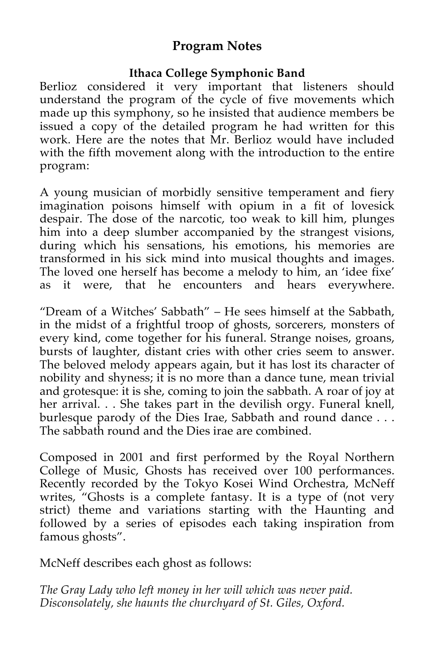## **Program Notes**

## **Ithaca College Symphonic Band**

Berlioz considered it very important that listeners should understand the program of the cycle of five movements which made up this symphony, so he insisted that audience members be issued a copy of the detailed program he had written for this work. Here are the notes that Mr. Berlioz would have included with the fifth movement along with the introduction to the entire program:

A young musician of morbidly sensitive temperament and fiery imagination poisons himself with opium in a fit of lovesick despair. The dose of the narcotic, too weak to kill him, plunges him into a deep slumber accompanied by the strangest visions, during which his sensations, his emotions, his memories are transformed in his sick mind into musical thoughts and images. The loved one herself has become a melody to him, an 'idee fixe' as it were, that he encounters and hears everywhere.

"Dream of a Witches' Sabbath" – He sees himself at the Sabbath, in the midst of a frightful troop of ghosts, sorcerers, monsters of every kind, come together for his funeral. Strange noises, groans, bursts of laughter, distant cries with other cries seem to answer. The beloved melody appears again, but it has lost its character of nobility and shyness; it is no more than a dance tune, mean trivial and grotesque: it is she, coming to join the sabbath. A roar of joy at her arrival... She takes part in the devilish orgy. Funeral knell, burlesque parody of the Dies Irae, Sabbath and round dance . . . The sabbath round and the Dies irae are combined.

Composed in 2001 and first performed by the Royal Northern College of Music, Ghosts has received over 100 performances. Recently recorded by the Tokyo Kosei Wind Orchestra, McNeff writes, "Ghosts is a complete fantasy. It is a type of (not very strict) theme and variations starting with the Haunting and followed by a series of episodes each taking inspiration from famous ghosts".

McNeff describes each ghost as follows:

*The Gray Lady who left money in her will which was never paid. Disconsolately, she haunts the churchyard of St. Giles, Oxford.*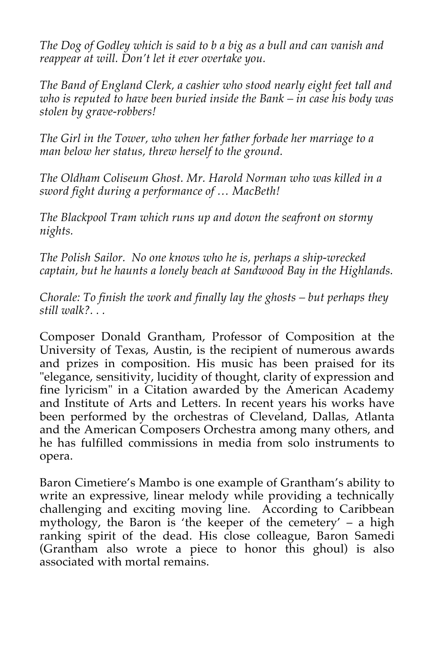*The Dog of Godley which is said to b a big as a bull and can vanish and reappear at will. Don't let it ever overtake you.* 

*The Band of England Clerk, a cashier who stood nearly eight feet tall and who is reputed to have been buried inside the Bank – in case his body was stolen by grave-robbers!*

*The Girl in the Tower, who when her father forbade her marriage to a man below her status, threw herself to the ground.*

*The Oldham Coliseum Ghost. Mr. Harold Norman who was killed in a sword fight during a performance of … MacBeth!*

*The Blackpool Tram which runs up and down the seafront on stormy nights.* 

*The Polish Sailor. No one knows who he is, perhaps a ship-wrecked captain, but he haunts a lonely beach at Sandwood Bay in the Highlands.*

*Chorale: To finish the work and finally lay the ghosts – but perhaps they still walk?. . .*

Composer Donald Grantham, Professor of Composition at the University of Texas, Austin, is the recipient of numerous awards and prizes in composition. His music has been praised for its "elegance, sensitivity, lucidity of thought, clarity of expression and fine lyricism" in a Citation awarded by the American Academy and Institute of Arts and Letters. In recent years his works have been performed by the orchestras of Cleveland, Dallas, Atlanta and the American Composers Orchestra among many others, and he has fulfilled commissions in media from solo instruments to opera.

Baron Cimetiere's Mambo is one example of Grantham's ability to write an expressive, linear melody while providing a technically challenging and exciting moving line. According to Caribbean mythology, the Baron is 'the keeper of the cemetery' – a high ranking spirit of the dead. His close colleague, Baron Samedi (Grantham also wrote a piece to honor this ghoul) is also associated with mortal remains.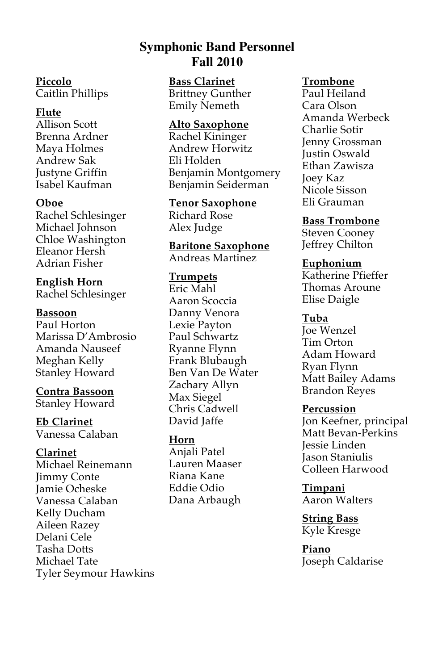## **Symphonic Band Personnel Fall 2010**

**Piccolo** Caitlin Phillips

#### **Flute**

Allison Scott Brenna Ardner Maya Holmes Andrew Sak Justyne Griffin Isabel Kaufman

#### **Oboe**

Rachel Schlesinger Michael Johnson Chloe Washington Eleanor Hersh Adrian Fisher

# **English Horn**

Rachel Schlesinger

#### **Bassoon**

Paul Horton Marissa D'Ambrosio Amanda Nauseef Meghan Kelly Stanley Howard

## **Contra Bassoon**

Stanley Howard

**Eb Clarinet** Vanessa Calaban

#### **Clarinet**

Michael Reinemann Jimmy Conte Jamie Ocheske Vanessa Calaban Kelly Ducham Aileen Razey Delani Cele Tasha Dotts Michael Tate Tyler Seymour Hawkins **Bass Clarinet** Brittney Gunther Emily Nemeth

#### **Alto Saxophone**

Rachel Kininger Andrew Horwitz Eli Holden Benjamin Montgomery Benjamin Seiderman

**Tenor Saxophone** Richard Rose Alex Judge

**Baritone Saxophone** Andreas Martinez

**Trumpets**

Eric Mahl Aaron Scoccia Danny Venora Lexie Payton Paul Schwartz Ryanne Flynn Frank Blubaugh Ben Van De Water Zachary Allyn Max Siegel Chris Cadwell David Jaffe

## **Horn**

Anjali Patel Lauren Maaser Riana Kane Eddie Odio Dana Arbaugh

#### **Trombone**

Paul Heiland Cara Olson Amanda Werbeck Charlie Sotir Jenny Grossman Justin Oswald Ethan Zawisza Joey Kaz Nicole Sisson Eli Grauman

#### **Bass Trombone**

Steven Cooney Jeffrey Chilton

#### **Euphonium**

Katherine Pfieffer Thomas Aroune Elise Daigle

#### **Tuba**

Joe Wenzel Tim Orton Adam Howard Ryan Flynn Matt Bailey Adams Brandon Reyes

#### **Percussion**

Jon Keefner, principal Matt Bevan-Perkins Jessie Linden Jason Staniulis Colleen Harwood

**Timpani** Aaron Walters

**String Bass** Kyle Kresge

**Piano** Joseph Caldarise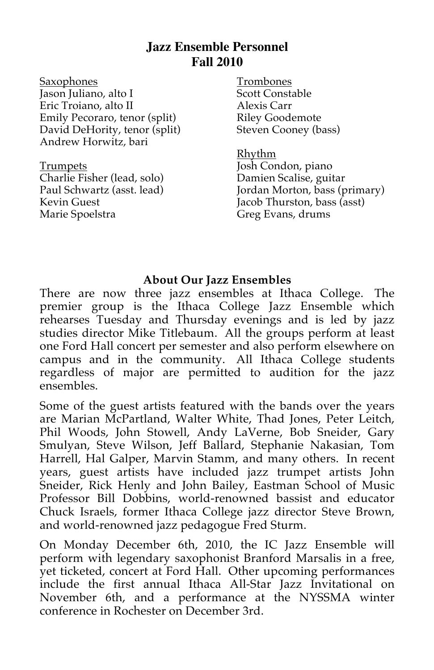## **Jazz Ensemble Personnel Fall 2010**

Saxophones Jason Juliano, alto I Eric Troiano, alto II Emily Pecoraro, tenor (split) David DeHority, tenor (split) Andrew Horwitz, bari

Trumpets Charlie Fisher (lead, solo) Paul Schwartz (asst. lead) Kevin Guest Marie Spoelstra

Trombones Scott Constable Alexis Carr Riley Goodemote Steven Cooney (bass)

Rhythm Josh Condon, piano Damien Scalise, guitar Jordan Morton, bass (primary) Jacob Thurston, bass (asst) Greg Evans, drums

#### **About Our Jazz Ensembles**

There are now three jazz ensembles at Ithaca College. The premier group is the Ithaca College Jazz Ensemble which rehearses Tuesday and Thursday evenings and is led by jazz studies director Mike Titlebaum. All the groups perform at least one Ford Hall concert per semester and also perform elsewhere on campus and in the community. All Ithaca College students regardless of major are permitted to audition for the jazz ensembles.

Some of the guest artists featured with the bands over the years are Marian McPartland, Walter White, Thad Jones, Peter Leitch, Phil Woods, John Stowell, Andy LaVerne, Bob Sneider, Gary Smulyan, Steve Wilson, Jeff Ballard, Stephanie Nakasian, Tom Harrell, Hal Galper, Marvin Stamm, and many others. In recent years, guest artists have included jazz trumpet artists John Sneider, Rick Henly and John Bailey, Eastman School of Music Professor Bill Dobbins, world-renowned bassist and educator Chuck Israels, former Ithaca College jazz director Steve Brown, and world-renowned jazz pedagogue Fred Sturm.

On Monday December 6th, 2010, the IC Jazz Ensemble will perform with legendary saxophonist Branford Marsalis in a free, yet ticketed, concert at Ford Hall. Other upcoming performances include the first annual Ithaca All-Star Jazz Invitational on November 6th, and a performance at the NYSSMA winter conference in Rochester on December 3rd.